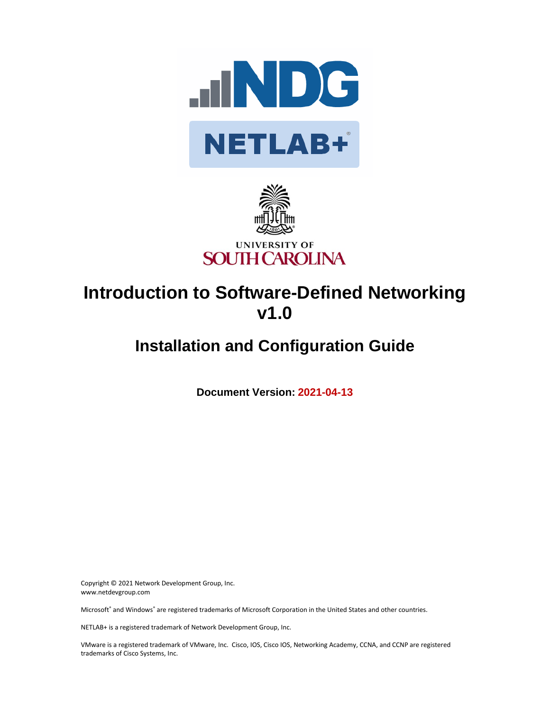



# **Introduction to Software-Defined Networking v1.0**

# **Installation and Configuration Guide**

**Document Version: 2021-04-13**

Copyright © 2021 Network Development Group, Inc. www.netdevgroup.com

Microsoft® and Windows® are registered trademarks of Microsoft Corporation in the United States and other countries.

NETLAB+ is a registered trademark of Network Development Group, Inc.

VMware is a registered trademark of VMware, Inc. Cisco, IOS, Cisco IOS, Networking Academy, CCNA, and CCNP are registered trademarks of Cisco Systems, Inc.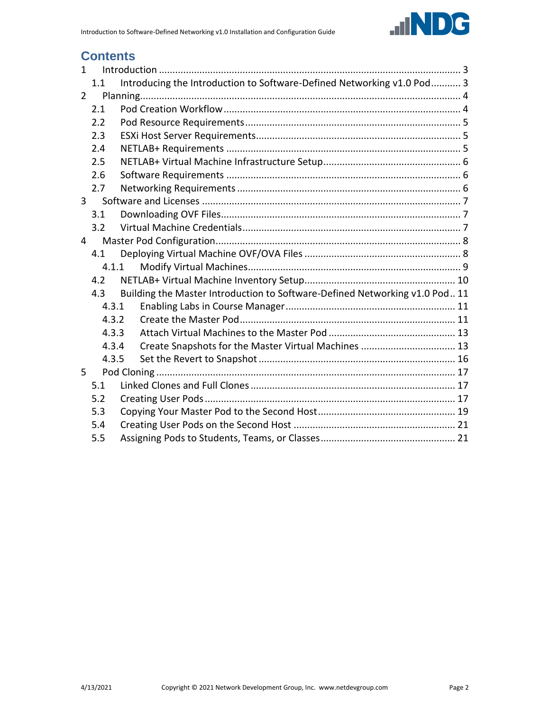

# **Contents**

| $\mathbf{1}$   |       |                                                                             |  |  |  |  |  |
|----------------|-------|-----------------------------------------------------------------------------|--|--|--|--|--|
|                | 1.1   | Introducing the Introduction to Software-Defined Networking v1.0 Pod 3      |  |  |  |  |  |
| $\overline{2}$ |       |                                                                             |  |  |  |  |  |
|                | 2.1   |                                                                             |  |  |  |  |  |
|                | 2.2   |                                                                             |  |  |  |  |  |
|                | 2.3   |                                                                             |  |  |  |  |  |
|                | 2.4   |                                                                             |  |  |  |  |  |
|                | 2.5   |                                                                             |  |  |  |  |  |
|                | 2.6   |                                                                             |  |  |  |  |  |
|                | 2.7   |                                                                             |  |  |  |  |  |
| $\overline{3}$ |       |                                                                             |  |  |  |  |  |
|                | 3.1   |                                                                             |  |  |  |  |  |
|                | 3.2   |                                                                             |  |  |  |  |  |
| 4              |       |                                                                             |  |  |  |  |  |
|                |       |                                                                             |  |  |  |  |  |
|                | 4.1.1 |                                                                             |  |  |  |  |  |
|                | 4.2   |                                                                             |  |  |  |  |  |
|                | 4.3   | Building the Master Introduction to Software-Defined Networking v1.0 Pod 11 |  |  |  |  |  |
|                | 4.3.1 |                                                                             |  |  |  |  |  |
|                | 4.3.2 |                                                                             |  |  |  |  |  |
|                | 4.3.3 |                                                                             |  |  |  |  |  |
|                | 4.3.4 | Create Snapshots for the Master Virtual Machines  13                        |  |  |  |  |  |
|                | 4.3.5 |                                                                             |  |  |  |  |  |
| 5              |       |                                                                             |  |  |  |  |  |
|                | 5.1   |                                                                             |  |  |  |  |  |
|                | 5.2   |                                                                             |  |  |  |  |  |
|                | 5.3   |                                                                             |  |  |  |  |  |
|                | 5.4   |                                                                             |  |  |  |  |  |
|                | 5.5   |                                                                             |  |  |  |  |  |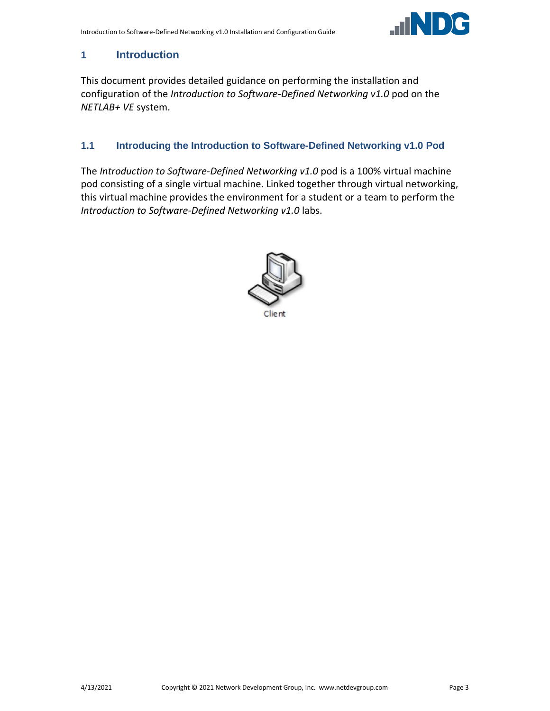

## <span id="page-2-0"></span>**1 Introduction**

This document provides detailed guidance on performing the installation and configuration of the *Introduction to Software-Defined Networking v1.0* pod on the *NETLAB+ VE* system.

#### <span id="page-2-1"></span>**1.1 Introducing the Introduction to Software-Defined Networking v1.0 Pod**

The *Introduction to Software-Defined Networking v1.0* pod is a 100% virtual machine pod consisting of a single virtual machine. Linked together through virtual networking, this virtual machine provides the environment for a student or a team to perform the *Introduction to Software-Defined Networking v1.0* labs.

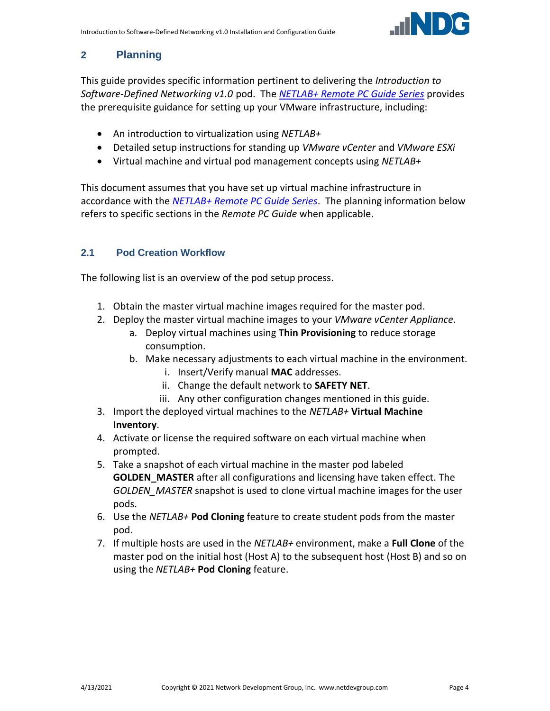

# <span id="page-3-0"></span>**2 Planning**

This guide provides specific information pertinent to delivering the *Introduction to Software-Defined Networking v1.0* pod. The *[NETLAB+ Remote PC Guide Series](http://www.netdevgroup.com/support/documentation/netlabve/)* provides the prerequisite guidance for setting up your VMware infrastructure, including:

- An introduction to virtualization using *NETLAB+*
- Detailed setup instructions for standing up *VMware vCenter* and *VMware ESXi*
- Virtual machine and virtual pod management concepts using *NETLAB+*

This document assumes that you have set up virtual machine infrastructure in accordance with the *[NETLAB+ Remote PC Guide Series](http://www.netdevgroup.com/support/documentation/netlabve/)*. The planning information below refers to specific sections in the *Remote PC Guide* when applicable.

# <span id="page-3-1"></span>**2.1 Pod Creation Workflow**

The following list is an overview of the pod setup process.

- 1. Obtain the master virtual machine images required for the master pod.
- 2. Deploy the master virtual machine images to your *VMware vCenter Appliance*.
	- a. Deploy virtual machines using **Thin Provisioning** to reduce storage consumption.
	- b. Make necessary adjustments to each virtual machine in the environment.
		- i. Insert/Verify manual **MAC** addresses.
		- ii. Change the default network to **SAFETY NET**.
		- iii. Any other configuration changes mentioned in this guide.
- 3. Import the deployed virtual machines to the *NETLAB+* **Virtual Machine Inventory**.
- 4. Activate or license the required software on each virtual machine when prompted.
- 5. Take a snapshot of each virtual machine in the master pod labeled **GOLDEN\_MASTER** after all configurations and licensing have taken effect. The *GOLDEN\_MASTER* snapshot is used to clone virtual machine images for the user pods.
- 6. Use the *NETLAB+* **Pod Cloning** feature to create student pods from the master pod.
- 7. If multiple hosts are used in the *NETLAB+* environment, make a **Full Clone** of the master pod on the initial host (Host A) to the subsequent host (Host B) and so on using the *NETLAB+* **Pod Cloning** feature.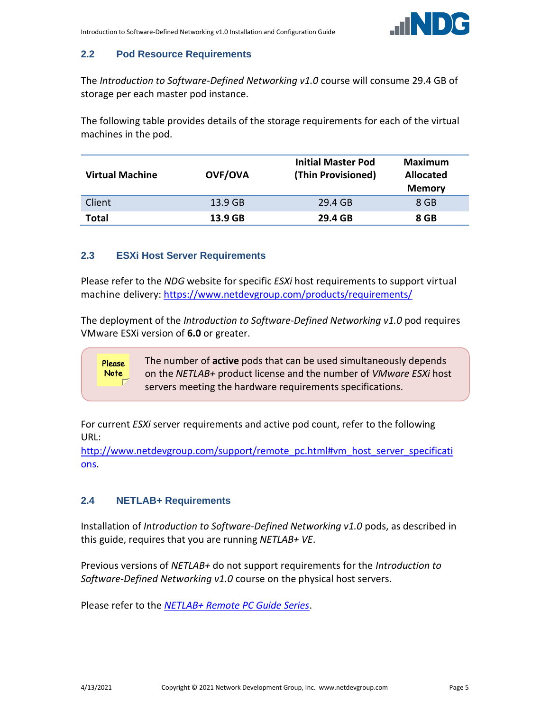

# <span id="page-4-0"></span>**2.2 Pod Resource Requirements**

The *Introduction to Software-Defined Networking v1.0* course will consume 29.4 GB of storage per each master pod instance.

The following table provides details of the storage requirements for each of the virtual machines in the pod.

| <b>Virtual Machine</b> | <b>OVF/OVA</b> | <b>Initial Master Pod</b><br>(Thin Provisioned) | <b>Maximum</b><br><b>Allocated</b><br><b>Memory</b> |
|------------------------|----------------|-------------------------------------------------|-----------------------------------------------------|
| Client                 | 13.9 GB        | 29.4 GB                                         | 8 GB                                                |
| Total                  | 13.9 GB        | 29.4 GB                                         | 8 GB                                                |

#### <span id="page-4-1"></span>**2.3 ESXi Host Server Requirements**

Please refer to the *NDG* website for specific *ESXi* host requirements to support virtual machine delivery: <https://www.netdevgroup.com/products/requirements/>

The deployment of the *Introduction to Software-Defined Networking v1.0* pod requires VMware ESXi version of **6.0** or greater.

> The number of **active** pods that can be used simultaneously depends on the *NETLAB+* product license and the number of *VMware ESXi* host servers meeting the hardware requirements specifications.

For current *ESXi* server requirements and active pod count, refer to the following URL:

[http://www.netdevgroup.com/support/remote\\_pc.html#vm\\_host\\_server\\_specificati](http://www.netdevgroup.com/support/remote_pc.html#vm_host_server_specifications) [ons.](http://www.netdevgroup.com/support/remote_pc.html#vm_host_server_specifications)

# <span id="page-4-2"></span>**2.4 NETLAB+ Requirements**

Please **Note** 

Installation of *Introduction to Software-Defined Networking v1.0* pods, as described in this guide, requires that you are running *NETLAB+ VE*.

Previous versions of *NETLAB+* do not support requirements for the *Introduction to Software-Defined Networking v1.0* course on the physical host servers.

Please refer to the *[NETLAB+ Remote PC Guide Series](https://www.netdevgroup.com/support/documentation/netlabve/)*.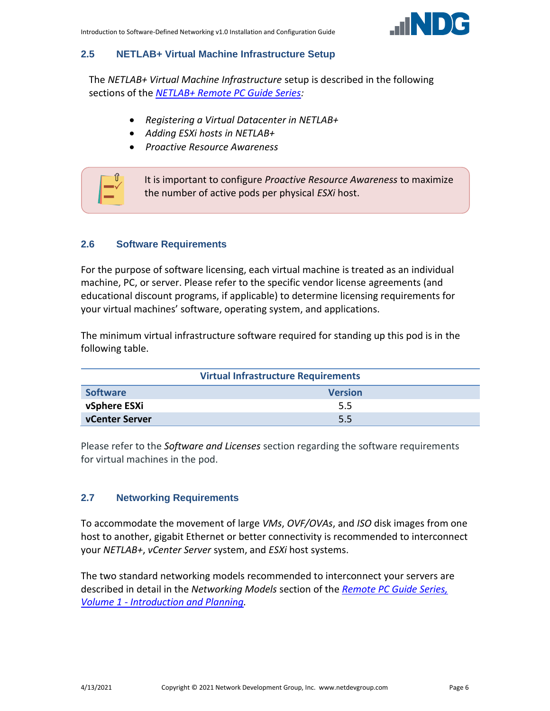

#### <span id="page-5-0"></span>**2.5 NETLAB+ Virtual Machine Infrastructure Setup**

The *NETLAB+ Virtual Machine Infrastructure* setup is described in the following sections of the *[NETLAB+ Remote PC Guide Series:](http://www.netdevgroup.com/support/documentation/netlabve/)*

- *Registering a Virtual Datacenter in NETLAB+*
- *Adding ESXi hosts in NETLAB+*
- *Proactive Resource Awareness*



#### <span id="page-5-1"></span>**2.6 Software Requirements**

For the purpose of software licensing, each virtual machine is treated as an individual machine, PC, or server. Please refer to the specific vendor license agreements (and educational discount programs, if applicable) to determine licensing requirements for your virtual machines' software, operating system, and applications.

The minimum virtual infrastructure software required for standing up this pod is in the following table.

| <b>Virtual Infrastructure Requirements</b> |                |  |  |  |  |
|--------------------------------------------|----------------|--|--|--|--|
| <b>Software</b>                            | <b>Version</b> |  |  |  |  |
| vSphere ESXi                               | 5.5            |  |  |  |  |
| vCenter Server                             | 5.5            |  |  |  |  |

Please refer to the *Software and Licenses* section regarding the software requirements for virtual machines in the pod.

#### <span id="page-5-2"></span>**2.7 Networking Requirements**

To accommodate the movement of large *VMs*, *OVF/OVAs*, and *ISO* disk images from one host to another, gigabit Ethernet or better connectivity is recommended to interconnect your *NETLAB+*, *vCenter Server* system, and *ESXi* host systems.

The two standard networking models recommended to interconnect your servers are described in detail in the *Networking Models* section of the *[Remote PC Guide Series,](http://www.netdevgroup.com/support/documentation/NETLAB_Remote_PC_Guide_Vol_1_Introduction.pdf)  Volume 1 - [Introduction and Planning.](http://www.netdevgroup.com/support/documentation/NETLAB_Remote_PC_Guide_Vol_1_Introduction.pdf)*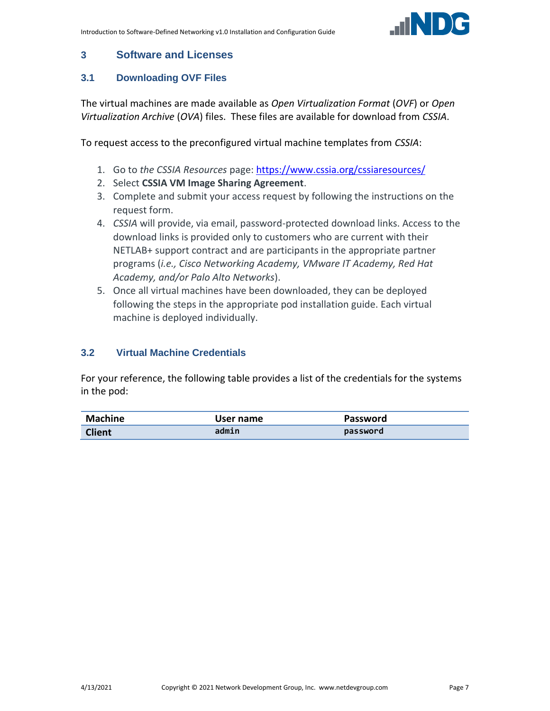

### <span id="page-6-0"></span>**3 Software and Licenses**

### <span id="page-6-1"></span>**3.1 Downloading OVF Files**

The virtual machines are made available as *Open Virtualization Format* (*OVF*) or *Open Virtualization Archive* (*OVA*) files. These files are available for download from *CSSIA*.

To request access to the preconfigured virtual machine templates from *CSSIA*:

- 1. Go to *the CSSIA Resources* page: <https://www.cssia.org/cssiaresources/>
- 2. Select **CSSIA VM Image Sharing Agreement**.
- 3. Complete and submit your access request by following the instructions on the request form.
- 4. *CSSIA* will provide, via email, password-protected download links. Access to the download links is provided only to customers who are current with their NETLAB+ support contract and are participants in the appropriate partner programs (*i.e., Cisco Networking Academy, VMware IT Academy, Red Hat Academy, and/or Palo Alto Networks*).
- 5. Once all virtual machines have been downloaded, they can be deployed following the steps in the appropriate pod installation guide. Each virtual machine is deployed individually.

#### <span id="page-6-2"></span>**3.2 Virtual Machine Credentials**

For your reference, the following table provides a list of the credentials for the systems in the pod:

| Machine       | User name | Password |
|---------------|-----------|----------|
| <b>Client</b> | admin     | password |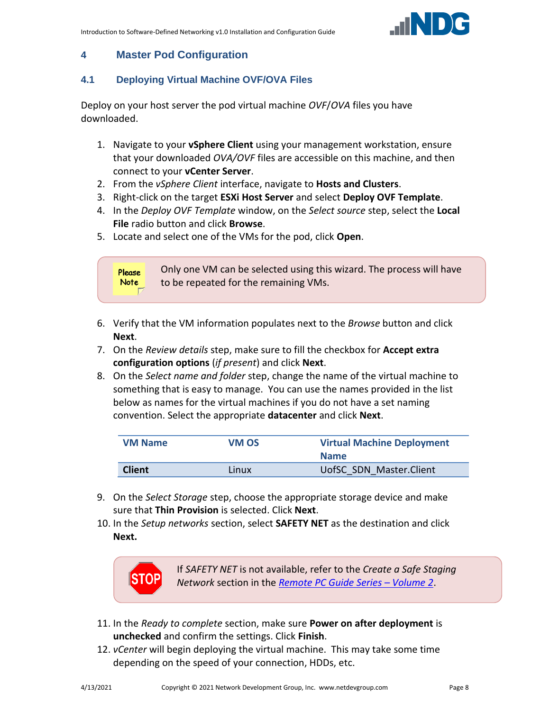

# <span id="page-7-0"></span>**4 Master Pod Configuration**

#### <span id="page-7-1"></span>**4.1 Deploying Virtual Machine OVF/OVA Files**

Deploy on your host server the pod virtual machine *OVF*/*OVA* files you have downloaded.

- 1. Navigate to your **vSphere Client** using your management workstation, ensure that your downloaded *OVA/OVF* files are accessible on this machine, and then connect to your **vCenter Server**.
- 2. From the *vSphere Client* interface, navigate to **Hosts and Clusters**.
- 3. Right-click on the target **ESXi Host Server** and select **Deploy OVF Template**.
- 4. In the *Deploy OVF Template* window, on the *Select source* step, select the **Local File** radio button and click **Browse**.
- 5. Locate and select one of the VMs for the pod, click **Open**.



- 6. Verify that the VM information populates next to the *Browse* button and click **Next**.
- 7. On the *Review details* step, make sure to fill the checkbox for **Accept extra configuration options** (*if present*) and click **Next**.
- 8. On the *Select name and folder* step, change the name of the virtual machine to something that is easy to manage. You can use the names provided in the list below as names for the virtual machines if you do not have a set naming convention. Select the appropriate **datacenter** and click **Next**.

| <b>VM Name</b> | VM OS | <b>Virtual Machine Deployment</b><br><b>Name</b> |
|----------------|-------|--------------------------------------------------|
|                |       |                                                  |
| <b>Client</b>  | Linux | UofSC SDN Master.Client                          |

- 9. On the *Select Storage* step, choose the appropriate storage device and make sure that **Thin Provision** is selected. Click **Next**.
- 10. In the *Setup networks* section, select **SAFETY NET** as the destination and click **Next.**



If *SAFETY NET* is not available, refer to the *Create a Safe Staging Network* section in the *[Remote PC Guide Series](http://www.netdevgroup.com/support/documentation/NETLAB_Remote_PC_Guide_Vol_2_Installation.pdf) – Volume 2*.

- 11. In the *Ready to complete* section, make sure **Power on after deployment** is **unchecked** and confirm the settings. Click **Finish**.
- 12. *vCenter* will begin deploying the virtual machine. This may take some time depending on the speed of your connection, HDDs, etc.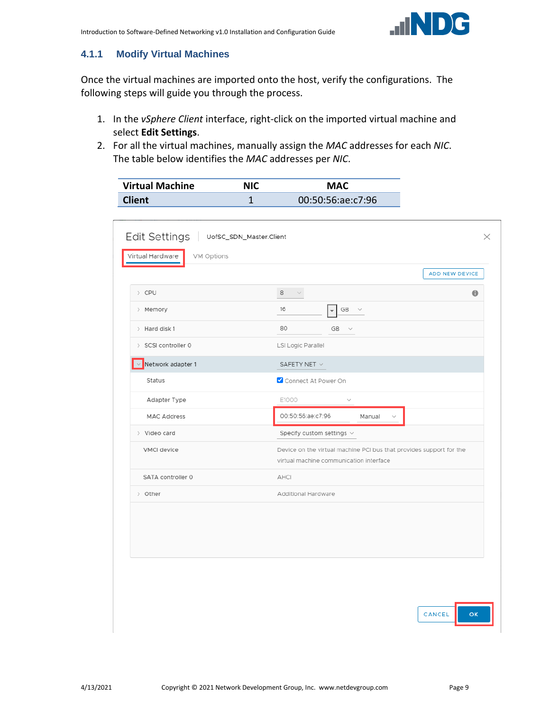

#### <span id="page-8-0"></span>**4.1.1 Modify Virtual Machines**

Once the virtual machines are imported onto the host, verify the configurations. The following steps will guide you through the process.

- 1. In the *vSphere Client* interface, right-click on the imported virtual machine and select **Edit Settings**.
- 2. For all the virtual machines, manually assign the *MAC* addresses for each *NIC*. The table below identifies the *MAC* addresses per *NIC*.

| <b>Virtual Machine</b> | NIC | <b>MAC</b>        |
|------------------------|-----|-------------------|
| <b>Client</b>          |     | 00:50:56:ae:c7:96 |

|                     |                                                                                                                | ADD NEW DEVICE |
|---------------------|----------------------------------------------------------------------------------------------------------------|----------------|
| > CPU               | 8<br>$\sim$                                                                                                    | $\bullet$      |
| > Memory            | 16<br>$GB \quad \lor$<br>$\overline{\phantom{a}}$                                                              |                |
| $>$ Hard disk 1     | 80<br>$GB \quad \lor$                                                                                          |                |
| > SCSI controller 0 | LSI Logic Parallel                                                                                             |                |
| Network adapter 1   | SAFETY NET $\lor$                                                                                              |                |
| Status              | Connect At Power On                                                                                            |                |
| Adapter Type        | E1000<br>$\checkmark$                                                                                          |                |
| <b>MAC Address</b>  | 00:50:56:ae:c7:96<br>Manual<br>$\checkmark$                                                                    |                |
| > Video card        | Specify custom settings $\vee$                                                                                 |                |
| VMCI device         | Device on the virtual machine PCI bus that provides support for the<br>virtual machine communication interface |                |
| SATA controller 0   | AHCI                                                                                                           |                |
| > Other             | Additional Hardware                                                                                            |                |
|                     |                                                                                                                |                |
|                     |                                                                                                                |                |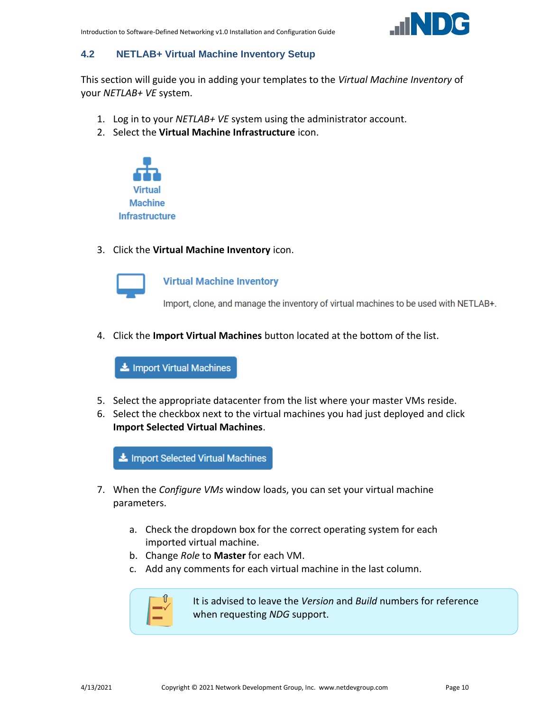

## <span id="page-9-0"></span>**4.2 NETLAB+ Virtual Machine Inventory Setup**

This section will guide you in adding your templates to the *Virtual Machine Inventory* of your *NETLAB+ VE* system.

- 1. Log in to your *NETLAB+ VE* system using the administrator account.
- 2. Select the **Virtual Machine Infrastructure** icon.



3. Click the **Virtual Machine Inventory** icon.



**Virtual Machine Inventory** 

Import, clone, and manage the inventory of virtual machines to be used with NETLAB+.

4. Click the **Import Virtual Machines** button located at the bottom of the list.

Import Virtual Machines

- 5. Select the appropriate datacenter from the list where your master VMs reside.
- 6. Select the checkbox next to the virtual machines you had just deployed and click **Import Selected Virtual Machines**.

Import Selected Virtual Machines

- 7. When the *Configure VMs* window loads, you can set your virtual machine parameters.
	- a. Check the dropdown box for the correct operating system for each imported virtual machine.
	- b. Change *Role* to **Master** for each VM.
	- c. Add any comments for each virtual machine in the last column.



It is advised to leave the *Version* and *Build* numbers for reference when requesting *NDG* support.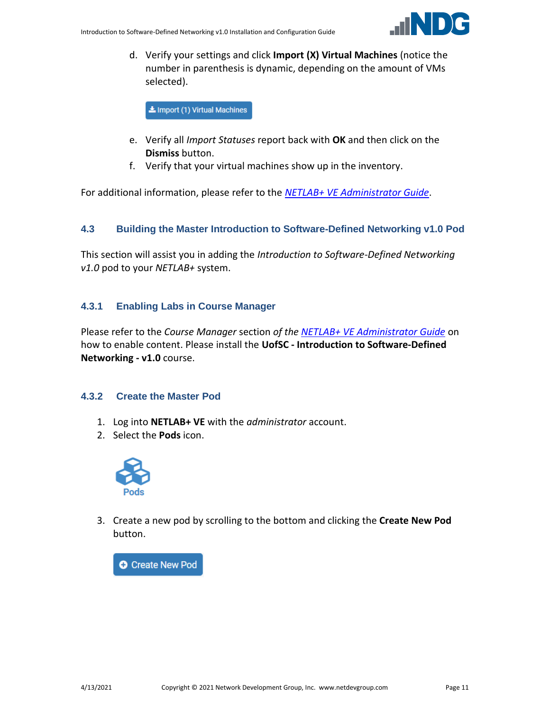

d. Verify your settings and click **Import (X) Virtual Machines** (notice the number in parenthesis is dynamic, depending on the amount of VMs selected).

Import (1) Virtual Machines

- e. Verify all *Import Statuses* report back with **OK** and then click on the **Dismiss** button.
- f. Verify that your virtual machines show up in the inventory.

For additional information, please refer to the *[NETLAB+ VE Administrator Guide](http://www.netdevgroup.com/support/documentation/netlabve/netlabve_administrator_guide.pdf#nameddest=virtual_machine_infrastructure)*.

#### <span id="page-10-0"></span>**4.3 Building the Master Introduction to Software-Defined Networking v1.0 Pod**

This section will assist you in adding the *Introduction to Software-Defined Networking v1.0* pod to your *NETLAB+* system.

#### <span id="page-10-1"></span>**4.3.1 Enabling Labs in Course Manager**

Please refer to the *Course Manager* section *of the [NETLAB+ VE Administrator Guide](https://www.netdevgroup.com/support/documentation/netlabve/netlabve_administrator_guide.pdf#nameddest=course_manager)* on how to enable content. Please install the **UofSC - Introduction to Software-Defined Networking - v1.0** course.

#### <span id="page-10-2"></span>**4.3.2 Create the Master Pod**

- 1. Log into **NETLAB+ VE** with the *administrator* account.
- 2. Select the **Pods** icon.



3. Create a new pod by scrolling to the bottom and clicking the **Create New Pod** button.

**O** Create New Pod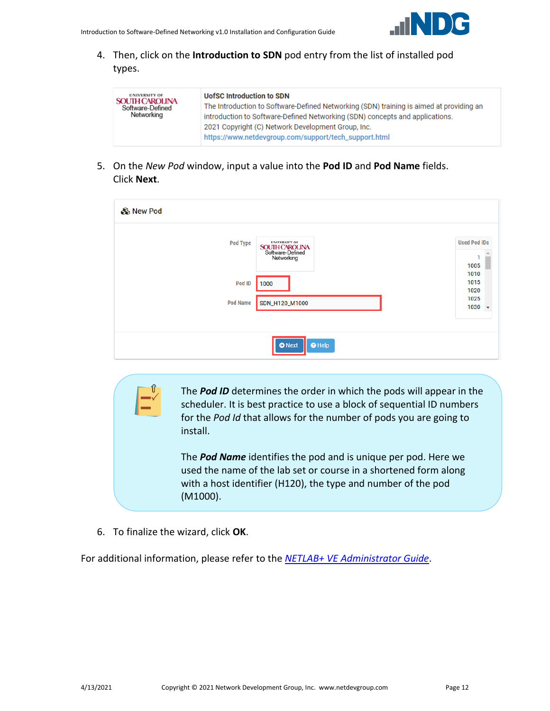

4. Then, click on the **Introduction to SDN** pod entry from the list of installed pod types.

| <b>UNIVERSITY OF</b><br><b>SOUTH CAROLINA</b><br>Software-Defined<br>Networking | <b>UofSC Introduction to SDN</b><br>The Introduction to Software-Defined Networking (SDN) training is aimed at providing an<br>introduction to Software-Defined Networking (SDN) concepts and applications.<br>2021 Copyright (C) Network Development Group, Inc.<br>https://www.netdevgroup.com/support/tech_support.html |
|---------------------------------------------------------------------------------|----------------------------------------------------------------------------------------------------------------------------------------------------------------------------------------------------------------------------------------------------------------------------------------------------------------------------|
|---------------------------------------------------------------------------------|----------------------------------------------------------------------------------------------------------------------------------------------------------------------------------------------------------------------------------------------------------------------------------------------------------------------------|

5. On the *New Pod* window, input a value into the **Pod ID** and **Pod Name** fields. Click **Next**.

| & New Pod       |                                                                                 |                                         |
|-----------------|---------------------------------------------------------------------------------|-----------------------------------------|
| <b>Pod Type</b> | <b>UNIVERSITY OF</b><br><b>SOUTH CAROLINA</b><br>Software-Defined<br>Networking | <b>Used Pod IDs</b><br>1<br>1005        |
| Pod ID          | 1000                                                                            | 1010<br>1015<br>1020                    |
| <b>Pod Name</b> | SDN_H120_M1000                                                                  | 1025<br>1030<br>$\overline{\mathbf{v}}$ |
|                 | $\Theta$ Help<br><b>O</b> Next                                                  |                                         |

The *Pod ID* determines the order in which the pods will appear in the scheduler. It is best practice to use a block of sequential ID numbers for the *Pod Id* that allows for the number of pods you are going to install.

The *Pod Name* identifies the pod and is unique per pod. Here we used the name of the lab set or course in a shortened form along with a host identifier (H120), the type and number of the pod (M1000).

6. To finalize the wizard, click **OK**.

For additional information, please refer to the *NETLAB+ VE [Administrator Guide](http://www.netdevgroup.com/support/documentation/netlabve/netlabve_administrator_guide.pdf)*.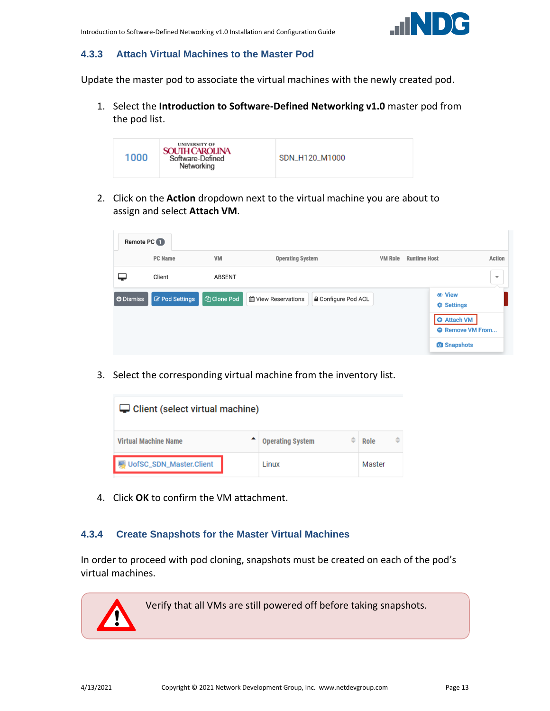

#### <span id="page-12-0"></span>**4.3.3 Attach Virtual Machines to the Master Pod**

Update the master pod to associate the virtual machines with the newly created pod.

1. Select the **Introduction to Software-Defined Networking v1.0** master pod from the pod list.



2. Click on the **Action** dropdown next to the virtual machine you are about to assign and select **Attach VM**.

| Remote PC <sup>1</sup> |                       |                    |                                                          |                                       |                                               |                          |
|------------------------|-----------------------|--------------------|----------------------------------------------------------|---------------------------------------|-----------------------------------------------|--------------------------|
|                        | <b>PC</b> Name        | VM                 | <b>Operating System</b>                                  | <b>VM Role</b><br><b>Runtime Host</b> |                                               | Action                   |
|                        | Client                | <b>ABSENT</b>      |                                                          |                                       |                                               | $\overline{\phantom{a}}$ |
| <b>O</b> Dismiss       | <b>Z</b> Pod Settings | <b>华 Clone Pod</b> | <b>≙</b> Configure Pod ACL<br><b>M</b> View Reservations |                                       | <b>☆ Settings</b>                             |                          |
|                        |                       |                    |                                                          |                                       | <b>O</b> Attach VM<br><b>O</b> Remove VM From |                          |
|                        |                       |                    |                                                          |                                       | <b>O</b> Snapshots                            |                          |

3. Select the corresponding virtual machine from the inventory list.

| $\Box$ Client (select virtual machine) |  |                         |  |        |   |  |
|----------------------------------------|--|-------------------------|--|--------|---|--|
| <b>Virtual Machine Name</b>            |  | <b>Operating System</b> |  | Role   | ÷ |  |
| UofSC_SDN_Master.Client                |  | Linux                   |  | Master |   |  |

4. Click **OK** to confirm the VM attachment.

#### <span id="page-12-1"></span>**4.3.4 Create Snapshots for the Master Virtual Machines**

In order to proceed with pod cloning, snapshots must be created on each of the pod's virtual machines.

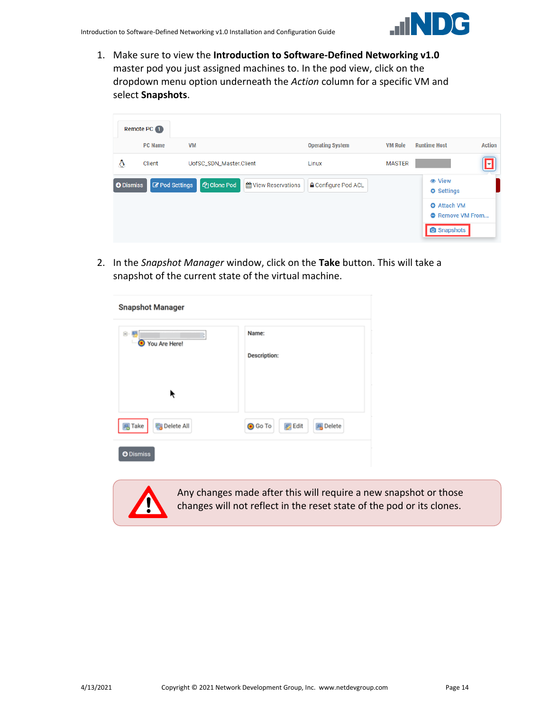

1. Make sure to view the **Introduction to Software-Defined Networking v1.0** master pod you just assigned machines to. In the pod view, click on the dropdown menu option underneath the *Action* column for a specific VM and select **Snapshots**.

|                  | Remote PC 1    |                         |                            |                            |                |                                               |               |
|------------------|----------------|-------------------------|----------------------------|----------------------------|----------------|-----------------------------------------------|---------------|
|                  | <b>PC</b> Name | <b>VM</b>               |                            | <b>Operating System</b>    | <b>VM Role</b> | <b>Runtime Host</b>                           | <b>Action</b> |
| Δ                | Client         | UofSC_SDN_Master.Client |                            | Linux                      | <b>MASTER</b>  |                                               | H             |
| <b>O</b> Dismiss | Pod Settings   | <b>图 Clone Pod</b>      | <b>論 View Reservations</b> | <b>△</b> Configure Pod ACL |                | <b>♦ Settings</b>                             |               |
|                  |                |                         |                            |                            |                | <b>O</b> Attach VM<br><b>A</b> Remove VM From |               |
|                  |                |                         |                            |                            |                | <b>O</b> Snapshots                            |               |

2. In the *Snapshot Manager* window, click on the **Take** button. This will take a snapshot of the current state of the virtual machine.

| <b>Snapshot Manager</b>     |                                                    |  |  |  |
|-----------------------------|----------------------------------------------------|--|--|--|
| 白-星<br>You Are Here!<br>۰   | Name:<br><b>Description:</b>                       |  |  |  |
| ř                           |                                                    |  |  |  |
| <b>同</b> Take<br>Delete All | <b>B</b> Delete<br><b>O</b> Go To<br><b>B</b> Edit |  |  |  |
| <b>O</b> Dismiss            |                                                    |  |  |  |



Any changes made after this will require a new snapshot or those changes will not reflect in the reset state of the pod or its clones.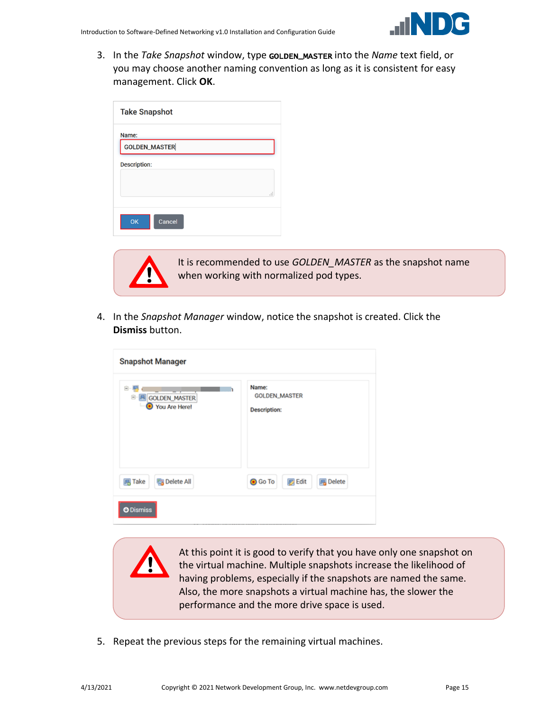

3. In the *Take Snapshot* window, type GOLDEN\_MASTER into the *Name* text field, or you may choose another naming convention as long as it is consistent for easy management. Click **OK**.

| <b>Take Snapshot</b>          |   |
|-------------------------------|---|
| Name:<br><b>GOLDEN_MASTER</b> |   |
| <b>Description:</b>           |   |
|                               | i |
| <b>OK</b><br>Cancel           |   |



It is recommended to use *GOLDEN\_MASTER* as the snapshot name when working with normalized pod types.

4. In the *Snapshot Manager* window, notice the snapshot is created. Click the **Dismiss** button.

| <b>Snapshot Manager</b>                  |                                                      |  |  |  |
|------------------------------------------|------------------------------------------------------|--|--|--|
| e<br>GOLDEN_MASTER<br>Θ<br>You Are Here! | Name:<br><b>GOLDEN_MASTER</b><br><b>Description:</b> |  |  |  |
| <b>B</b> Delete All<br><b>马 Take</b>     | <b>B</b> Edit<br><b>風</b> Delete<br><b>O</b> Go To   |  |  |  |
| <b>O</b> Dismiss                         |                                                      |  |  |  |

At this point it is good to verify that you have only one snapshot on the virtual machine. Multiple snapshots increase the likelihood of having problems, especially if the snapshots are named the same. Also, the more snapshots a virtual machine has, the slower the performance and the more drive space is used.

5. Repeat the previous steps for the remaining virtual machines.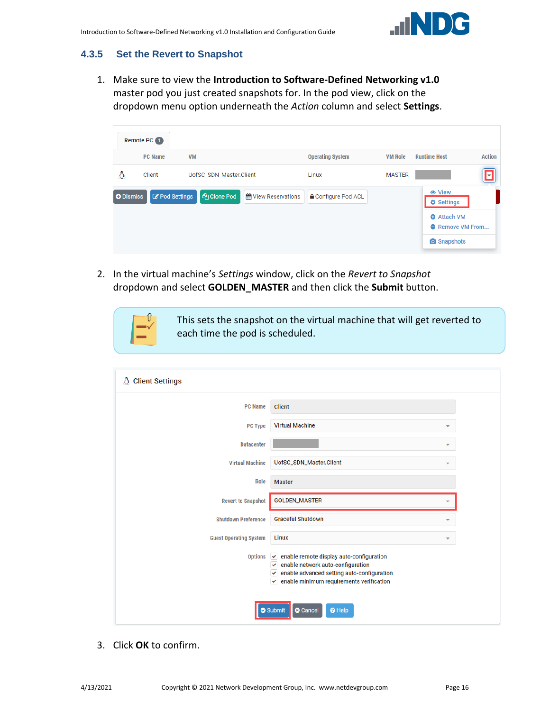

# <span id="page-15-0"></span>**4.3.5 Set the Revert to Snapshot**

1. Make sure to view the **Introduction to Software-Defined Networking v1.0** master pod you just created snapshots for. In the pod view, click on the dropdown menu option underneath the *Action* column and select **Settings**.

|                  | Remote PC 1           |                         |                      |                            |                |                                               |               |
|------------------|-----------------------|-------------------------|----------------------|----------------------------|----------------|-----------------------------------------------|---------------|
|                  | <b>PC</b> Name        | <b>VM</b>               |                      | <b>Operating System</b>    | <b>VM Role</b> | <b>Runtime Host</b>                           | <b>Action</b> |
| Δ                | Client                | UofSC_SDN_Master.Client |                      | Linux                      | <b>MASTER</b>  |                                               | П             |
| <b>O</b> Dismiss | <b>Z</b> Pod Settings | <b>图 Clone Pod</b>      | tt View Reservations | <b>△</b> Configure Pod ACL |                | <b> ⊙</b> View<br><b>♦ Settings</b>           |               |
|                  |                       |                         |                      |                            |                | <b>O</b> Attach VM<br><b>A</b> Remove VM From |               |
|                  |                       |                         |                      |                            |                | <b>O</b> Snapshots                            |               |

2. In the virtual machine's *Settings* window, click on the *Revert to Snapshot* dropdown and select **GOLDEN\_MASTER** and then click the **Submit** button.

This sets the snapshot on the virtual machine that will get reverted to each time the pod is scheduled.

| & Client Settings             |                                                                                                                                                                                                                  |  |
|-------------------------------|------------------------------------------------------------------------------------------------------------------------------------------------------------------------------------------------------------------|--|
| <b>PC Name</b>                | <b>Client</b>                                                                                                                                                                                                    |  |
| <b>PC Type</b>                | <b>Virtual Machine</b><br>$\overline{\phantom{a}}$                                                                                                                                                               |  |
| <b>Datacenter</b>             | $\overline{\phantom{a}}$                                                                                                                                                                                         |  |
| <b>Virtual Machine</b>        | UofSC_SDN_Master.Client<br>▼                                                                                                                                                                                     |  |
| <b>Role</b>                   | <b>Master</b>                                                                                                                                                                                                    |  |
| <b>Revert to Snapshot</b>     | GOLDEN_MASTER                                                                                                                                                                                                    |  |
| <b>Shutdown Preference</b>    | <b>Graceful Shutdown</b><br>$\overline{\phantom{a}}$                                                                                                                                                             |  |
| <b>Guest Operating System</b> | Linux<br>$\overline{\phantom{a}}$                                                                                                                                                                                |  |
| <b>Options</b>                | $\vee$ enable remote display auto-configuration<br>$\checkmark$ enable network auto-configuration<br>enable advanced setting auto-configuration<br>v<br>enable minimum requirements verification<br>$\checkmark$ |  |
|                               | Submit<br><sup>O</sup> Help<br><b>O</b> Cancel                                                                                                                                                                   |  |

3. Click **OK** to confirm.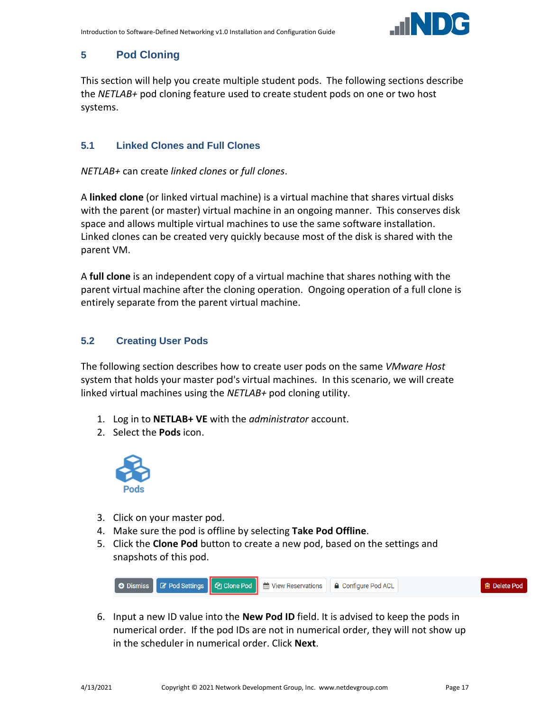

# <span id="page-16-0"></span>**5 Pod Cloning**

This section will help you create multiple student pods. The following sections describe the *NETLAB+* pod cloning feature used to create student pods on one or two host systems.

#### <span id="page-16-1"></span>**5.1 Linked Clones and Full Clones**

*NETLAB+* can create *linked clones* or *full clones*.

A **linked clone** (or linked virtual machine) is a virtual machine that shares virtual disks with the parent (or master) virtual machine in an ongoing manner. This conserves disk space and allows multiple virtual machines to use the same software installation. Linked clones can be created very quickly because most of the disk is shared with the parent VM.

A **full clone** is an independent copy of a virtual machine that shares nothing with the parent virtual machine after the cloning operation. Ongoing operation of a full clone is entirely separate from the parent virtual machine.

# <span id="page-16-2"></span>**5.2 Creating User Pods**

The following section describes how to create user pods on the same *VMware Host* system that holds your master pod's virtual machines. In this scenario, we will create linked virtual machines using the *NETLAB+* pod cloning utility.

- 1. Log in to **NETLAB+ VE** with the *administrator* account.
- 2. Select the **Pods** icon.



- 3. Click on your master pod.
- 4. Make sure the pod is offline by selecting **Take Pod Offline**.
- 5. Click the **Clone Pod** button to create a new pod, based on the settings and snapshots of this pod.



6. Input a new ID value into the **New Pod ID** field. It is advised to keep the pods in numerical order. If the pod IDs are not in numerical order, they will not show up in the scheduler in numerical order. Click **Next**.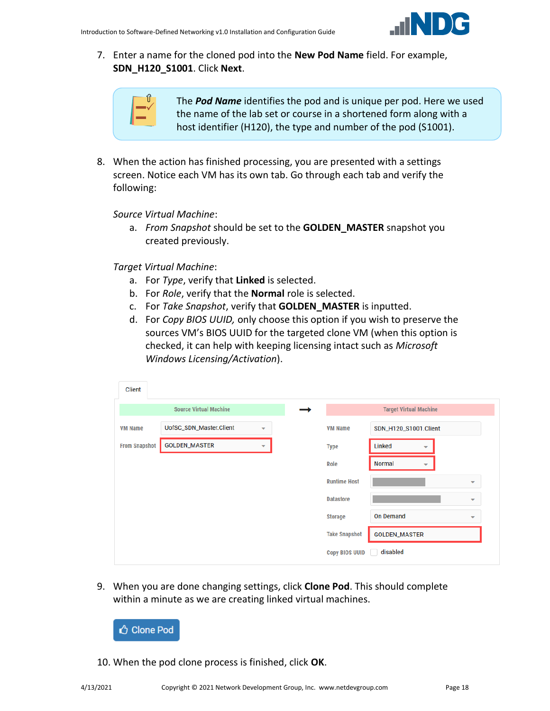

7. Enter a name for the cloned pod into the **New Pod Name** field. For example, **SDN\_H120\_S1001**. Click **Next**.

| 41 |  |
|----|--|
|    |  |
|    |  |

The *Pod Name* identifies the pod and is unique per pod. Here we used the name of the lab set or course in a shortened form along with a host identifier (H120), the type and number of the pod (S1001).

8. When the action has finished processing, you are presented with a settings screen. Notice each VM has its own tab. Go through each tab and verify the following:

*Source Virtual Machine*:

a. *From Snapshot* should be set to the **GOLDEN\_MASTER** snapshot you created previously.

*Target Virtual Machine*:

- a. For *Type*, verify that **Linked** is selected.
- b. For *Role*, verify that the **Normal** role is selected.
- c. For *Take Snapshot*, verify that **GOLDEN\_MASTER** is inputted.
- d. For *Copy BIOS UUID,* only choose this option if you wish to preserve the sources VM's BIOS UUID for the targeted clone VM (when this option is checked, it can help with keeping licensing intact such as *Microsoft Windows Licensing/Activation*).

| <b>Client</b>        |                               |                          |                       |                                           |                          |
|----------------------|-------------------------------|--------------------------|-----------------------|-------------------------------------------|--------------------------|
|                      | <b>Source Virtual Machine</b> |                          |                       | <b>Target Virtual Machine</b>             |                          |
| <b>VM Name</b>       | UofSC_SDN_Master.Client       | $\overline{\phantom{0}}$ | <b>VM Name</b>        | SDN_H120_S1001.Client                     |                          |
| <b>From Snapshot</b> | <b>GOLDEN_MASTER</b>          | $\overline{\phantom{a}}$ | <b>Type</b>           | Linked<br>▼                               |                          |
|                      |                               |                          | Role                  | <b>Normal</b><br>$\overline{\phantom{a}}$ |                          |
|                      |                               |                          | <b>Runtime Host</b>   |                                           | ▼                        |
|                      |                               |                          | <b>Datastore</b>      |                                           | $\overline{\phantom{a}}$ |
|                      |                               |                          | <b>Storage</b>        | <b>On Demand</b>                          | $\overline{\phantom{a}}$ |
|                      |                               |                          | <b>Take Snapshot</b>  | <b>GOLDEN_MASTER</b>                      |                          |
|                      |                               |                          | <b>Copy BIOS UUID</b> | disabled                                  |                          |

9. When you are done changing settings, click **Clone Pod**. This should complete within a minute as we are creating linked virtual machines.



10. When the pod clone process is finished, click **OK**.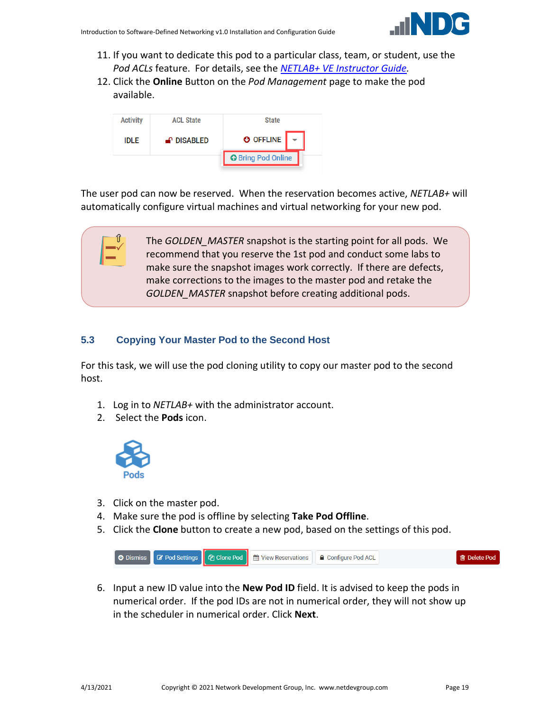

- 11. If you want to dedicate this pod to a particular class, team, or student, use the *Pod ACLs* feature. For details, see the *[NETLAB+ VE Instructor Guide.](http://www.netdevgroup.com/support/documentation/netlabve/netlabve_instructor_guide.pdf#nameddest=manage_pod_acls)*
- 12. Click the **Online** Button on the *Pod Management* page to make the pod available.



The user pod can now be reserved. When the reservation becomes active, *NETLAB+* will automatically configure virtual machines and virtual networking for your new pod.

> The *GOLDEN\_MASTER* snapshot is the starting point for all pods. We recommend that you reserve the 1st pod and conduct some labs to make sure the snapshot images work correctly. If there are defects, make corrections to the images to the master pod and retake the *GOLDEN\_MASTER* snapshot before creating additional pods.

# <span id="page-18-0"></span>**5.3 Copying Your Master Pod to the Second Host**

For this task, we will use the pod cloning utility to copy our master pod to the second host.

- 1. Log in to *NETLAB+* with the administrator account.
- 2. Select the **Pods** icon.



- 3. Click on the master pod.
- 4. Make sure the pod is offline by selecting **Take Pod Offline**.
- 5. Click the **Clone** button to create a new pod, based on the settings of this pod.



6. Input a new ID value into the **New Pod ID** field. It is advised to keep the pods in numerical order. If the pod IDs are not in numerical order, they will not show up in the scheduler in numerical order. Click **Next**.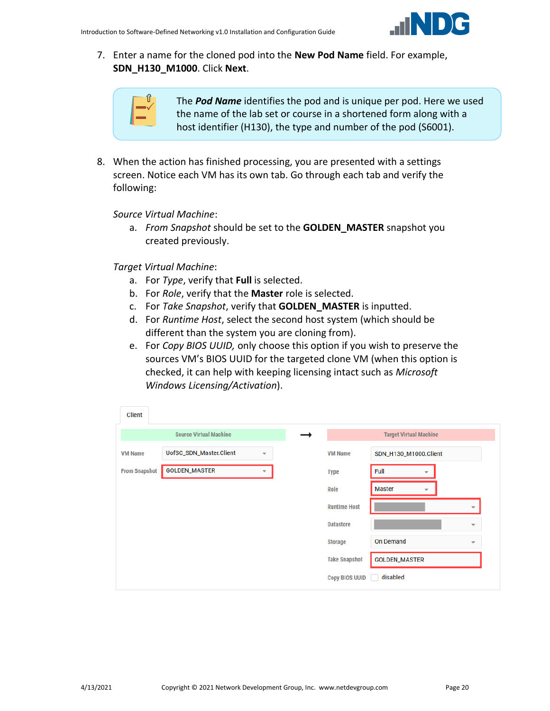

7. Enter a name for the cloned pod into the **New Pod Name** field. For example, **SDN\_H130\_M1000**. Click **Next**.

| ∼<br>٦<br>۱ |
|-------------|
|             |

The *Pod Name* identifies the pod and is unique per pod. Here we used the name of the lab set or course in a shortened form along with a host identifier (H130), the type and number of the pod (S6001).

8. When the action has finished processing, you are presented with a settings screen. Notice each VM has its own tab. Go through each tab and verify the following:

*Source Virtual Machine*:

a. *From Snapshot* should be set to the **GOLDEN\_MASTER** snapshot you created previously.

*Target Virtual Machine*:

- a. For *Type*, verify that **Full** is selected.
- b. For *Role*, verify that the **Master** role is selected.
- c. For *Take Snapshot*, verify that **GOLDEN\_MASTER** is inputted.
- d. For *Runtime Host*, select the second host system (which should be different than the system you are cloning from).
- e. For *Copy BIOS UUID,* only choose this option if you wish to preserve the sources VM's BIOS UUID for the targeted clone VM (when this option is checked, it can help with keeping licensing intact such as *Microsoft Windows Licensing/Activation*).

| <b>Client</b>        |                               |                          |                       |                                           |                          |
|----------------------|-------------------------------|--------------------------|-----------------------|-------------------------------------------|--------------------------|
|                      | <b>Source Virtual Machine</b> |                          |                       | <b>Target Virtual Machine</b>             |                          |
| <b>VM Name</b>       | UofSC_SDN_Master.Client       | $\overline{\phantom{a}}$ | <b>VM Name</b>        | SDN_H130_M1000.Client                     |                          |
| <b>From Snapshot</b> | <b>GOLDEN_MASTER</b>          | ▼                        | <b>Type</b>           | Full<br>$\overline{\phantom{a}}$          |                          |
|                      |                               |                          | Role                  | <b>Master</b><br>$\overline{\phantom{a}}$ |                          |
|                      |                               |                          | <b>Runtime Host</b>   |                                           | $\overline{\phantom{a}}$ |
|                      |                               |                          | <b>Datastore</b>      |                                           | $\overline{\phantom{0}}$ |
|                      |                               |                          | <b>Storage</b>        | <b>On Demand</b>                          | $\overline{\phantom{a}}$ |
|                      |                               |                          | <b>Take Snapshot</b>  | <b>GOLDEN_MASTER</b>                      |                          |
|                      |                               |                          | <b>Copy BIOS UUID</b> | disabled                                  |                          |